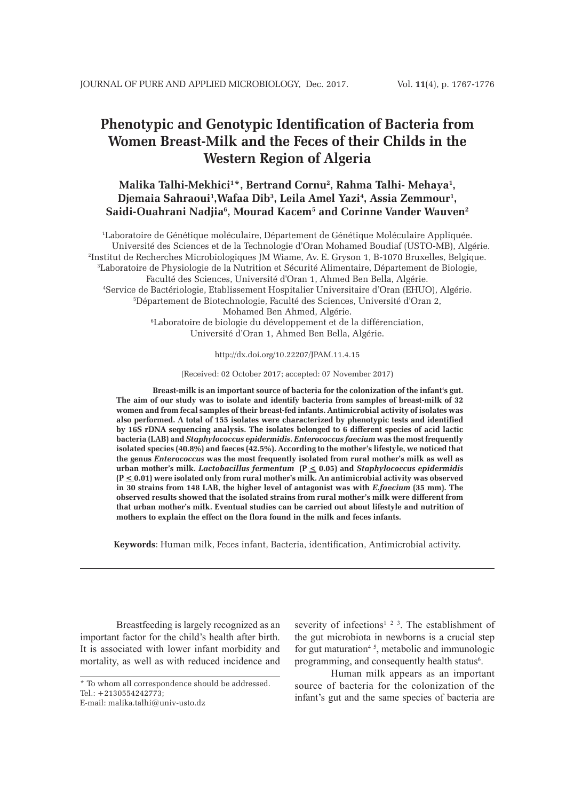# **Phenotypic and Genotypic Identification of Bacteria from Women Breast-Milk and the Feces of their Childs in the Western Region of Algeria**

# Malika Talhi-Mekhici<sup>1\*</sup>, Bertrand Cornu<sup>2</sup>, Rahma Talhi- Mehaya<sup>1</sup>, Djemaia Sahraoui<sup>1</sup>,Wafaa Dib<sup>3</sup>, Leila Amel Yazi<sup>4</sup>, Assia Zemmour<sup>1</sup>, **Saidi-Ouahrani Nadjia6 , Mourad Kacem5 and Corinne Vander Wauven2**

1 Laboratoire de Génétique moléculaire, Département de Génétique Moléculaire Appliquée. Université des Sciences et de la Technologie d'Oran Mohamed Boudiaf (USTO-MB), Algérie. 2 Institut de Recherches Microbiologiques JM Wiame, Av. E. Gryson 1, B-1070 Bruxelles, Belgique. 3 Laboratoire de Physiologie de la Nutrition et Sécurité Alimentaire, Département de Biologie, Faculté des Sciences, Université d'Oran 1, Ahmed Ben Bella, Algérie. 4 Service de Bactériologie, Etablissement Hospitalier Universitaire d'Oran (EHUO), Algérie. 5 Département de Biotechnologie, Faculté des Sciences, Université d'Oran 2, Mohamed Ben Ahmed, Algérie. 6 Laboratoire de biologie du développement et de la différenciation, Université d'Oran 1, Ahmed Ben Bella, Algérie.

http://dx.doi.org/10.22207/JPAM.11.4.15

(Received: 02 October 2017; accepted: 07 November 2017)

**Breast-milk is an important source of bacteria for the colonization of the infant's gut. The aim of our study was to isolate and identify bacteria from samples of breast-milk of 32 women and from fecal samples of their breast-fed infants. Antimicrobial activity of isolates was also performed. A total of 155 isolates were characterized by phenotypic tests and identified by 16S rDNA sequencing analysis. The isolates belonged to 6 different species of acid lactic bacteria (LAB) and** *Staphylococcus epidermidis***.** *Enterococcus faecium* **was the most frequently isolated species (40.8%) and faeces (42.5%). According to the mother's lifestyle, we noticed that the genus** *Enterococcus* **was the most frequently isolated from rural mother's milk as well as urban mother's milk.** *Lactobacillus fermentum* **(P < 0.05) and** *Staphylococcus epidermidis* **(P < 0.01) were isolated only from rural mother's milk. An antimicrobial activity was observed in 30 strains from 148 LAB, the higher level of antagonist was with** *E.faecium* **(35 mm). The observed results showed that the isolated strains from rural mother's milk were different from that urban mother's milk. Eventual studies can be carried out about lifestyle and nutrition of mothers to explain the effect on the flora found in the milk and feces infants.**

**Keywords**: Human milk, Feces infant, Bacteria, identification, Antimicrobial activity.

Breastfeeding is largely recognized as an important factor for the child's health after birth. It is associated with lower infant morbidity and mortality, as well as with reduced incidence and

severity of infections<sup>1 2 3</sup>. The establishment of the gut microbiota in newborns is a crucial step for gut maturation<sup>45</sup>, metabolic and immunologic programming, and consequently health status<sup>6</sup>.

Human milk appears as an important source of bacteria for the colonization of the infant's gut and the same species of bacteria are

<sup>\*</sup> To whom all correspondence should be addressed.  $Tel \cdot +2130554242773$ 

E-mail: malika.talhi@univ-usto.dz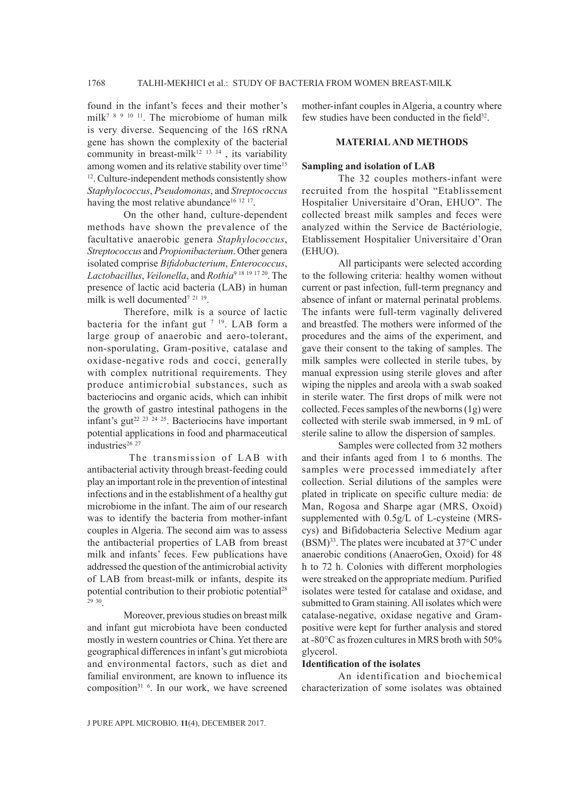found in the infant's feces and their mother's milk<sup>7 8 9 10 11</sup>. The microbiome of human milk is very diverse. Sequencing of the 16S rRNA gene has shown the complexity of the bacterial community in breast-milk $12$  13 14, its variability among women and its relative stability over time<sup>15</sup> 12. Culture-independent methods consistently show *Staphylococcus*, *Pseudomonas*, and *Streptococcus* having the most relative abundance<sup>16 12 17</sup>.

On the other hand, culture-dependent methods have shown the prevalence of the facultative anaerobic genera *Staphylococcus*, *Streptococcus* and *Propionibacterium*. Other genera isolated comprise *Bifidobacterium*, *Enterococcus*, *Lactobacillus*, *Veilonella*, and *Rothia*<sup>9</sup> <sup>18</sup> <sup>19</sup> <sup>17</sup> 20. The presence of lactic acid bacteria (LAB) in human milk is well documented<sup>7 21 19</sup>.

Therefore, milk is a source of lactic bacteria for the infant gut  $7^{19}$ . LAB form a large group of anaerobic and aero-tolerant, non-sporulating, Gram-positive, catalase and oxidase-negative rods and cocci, generally with complex nutritional requirements. They produce antimicrobial substances, such as bacteriocins and organic acids, which can inhibit the growth of gastro intestinal pathogens in the infant's gut<sup>22 23 24 25</sup>. Bacteriocins have important potential applications in food and pharmaceutical industries<sup>26</sup><sup>27</sup>

 The transmission of LAB with antibacterial activity through breast-feeding could play an important role in the prevention of intestinal infections and in the establishment of a healthy gut microbiome in the infant. The aim of our research was to identify the bacteria from mother-infant couples in Algeria. The second aim was to assess the antibacterial properties of LAB from breast milk and infants' feces. Few publications have addressed the question of the antimicrobial activity of LAB from breast-milk or infants, despite its potential contribution to their probiotic potential<sup>28</sup> <sup>29</sup> 30.

Moreover, previous studies on breast milk and infant gut microbiota have been conducted mostly in western countries or China. Yet there are geographical differences in infant's gut microbiota and environmental factors, such as diet and familial environment, are known to influence its composition<sup>31 6</sup>. In our work, we have screened mother-infant couples in Algeria, a country where few studies have been conducted in the field<sup>32</sup>.

## **MATERIAL AND METHODS**

#### **Sampling and isolation of LAB**

The 32 couples mothers-infant were recruited from the hospital "Etablissement Hospitalier Universitaire d'Oran, EHUO". The collected breast milk samples and feces were analyzed within the Service de Bactériologie, Etablissement Hospitalier Universitaire d'Oran (EHUO).

All participants were selected according to the following criteria: healthy women without current or past infection, full-term pregnancy and absence of infant or maternal perinatal problems. The infants were full-term vaginally delivered and breastfed. The mothers were informed of the procedures and the aims of the experiment, and gave their consent to the taking of samples. The milk samples were collected in sterile tubes, by manual expression using sterile gloves and after wiping the nipples and areola with a swab soaked in sterile water. The first drops of milk were not collected. Feces samples of the newborns (1g) were collected with sterile swab immersed, in 9 mL of sterile saline to allow the dispersion of samples.

Samples were collected from 32 mothers and their infants aged from 1 to 6 months. The samples were processed immediately after collection. Serial dilutions of the samples were plated in triplicate on specific culture media: de Man, Rogosa and Sharpe agar (MRS, Oxoid) supplemented with 0.5g/L of L-cysteine (MRScys) and Bifidobacteria Selective Medium agar  $(BSM)^{33}$ . The plates were incubated at 37 $\mathrm{^{\circ}C}$  under anaerobic conditions (AnaeroGen, Oxoid) for 48 h to 72 h. Colonies with different morphologies were streaked on the appropriate medium. Purified isolates were tested for catalase and oxidase, and submitted to Gram staining. All isolates which were catalase-negative, oxidase negative and Grampositive were kept for further analysis and stored at -80°C as frozen cultures in MRS broth with 50% glycerol.

## **Identification of the isolates**

An identification and biochemical characterization of some isolates was obtained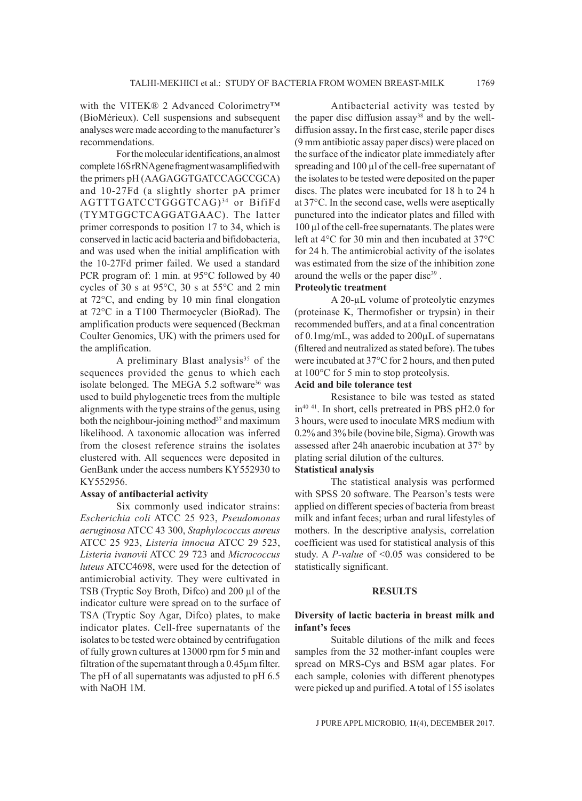with the VITEK® 2 Advanced Colorimetry™ (BioMérieux). Cell suspensions and subsequent analyses were made according to the manufacturer's recommendations.

For the molecular identifications, an almost complete 16S rRNA gene fragment was amplified with the primers pH (AAGAGGTGATCCAGCCGCA) and 10-27Fd (a slightly shorter pA primer AGTTTGATCCTGGGTCAG) 34 or BifiFd (TYMTGGCTCAGGATGAAC). The latter primer corresponds to position 17 to 34, which is conserved in lactic acid bacteria and bifidobacteria, and was used when the initial amplification with the 10-27Fd primer failed. We used a standard PCR program of: 1 min. at 95°C followed by 40 cycles of 30 s at 95°C, 30 s at 55°C and 2 min at 72°C, and ending by 10 min final elongation at 72°C in a T100 Thermocycler (BioRad). The amplification products were sequenced (Beckman Coulter Genomics, UK) with the primers used for the amplification.

A preliminary Blast analysis<sup>35</sup> of the sequences provided the genus to which each isolate belonged. The MEGA 5.2 software<sup>36</sup> was used to build phylogenetic trees from the multiple alignments with the type strains of the genus, using both the neighbour-joining method $37$  and maximum likelihood. A taxonomic allocation was inferred from the closest reference strains the isolates clustered with. All sequences were deposited in GenBank under the access numbers KY552930 to KY552956.

## **Assay of antibacterial activity**

Six commonly used indicator strains: *Escherichia coli* ATCC 25 923, *Pseudomonas aeruginosa* ATCC 43 300, *Staphylococcus aureus* ATCC 25 923, *Listeria innocua* ATCC 29 523, *Listeria ivanovii* ATCC 29 723 and *Micrococcus luteus* ATCC4698, were used for the detection of antimicrobial activity. They were cultivated in TSB (Tryptic Soy Broth, Difco) and 200 µl of the indicator culture were spread on to the surface of TSA (Tryptic Soy Agar, Difco) plates, to make indicator plates. Cell-free supernatants of the isolates to be tested were obtained by centrifugation of fully grown cultures at 13000 rpm for 5 min and filtration of the supernatant through a 0.45µm filter. The pH of all supernatants was adjusted to pH 6.5 with NaOH 1M.

Antibacterial activity was tested by the paper disc diffusion assay<sup>38</sup> and by the welldiffusion assay**.** In the first case, sterile paper discs (9 mm antibiotic assay paper discs) were placed on the surface of the indicator plate immediately after spreading and 100 µl of the cell-free supernatant of the isolates to be tested were deposited on the paper discs. The plates were incubated for 18 h to 24 h at 37°C. In the second case, wells were aseptically punctured into the indicator plates and filled with 100 µl of the cell-free supernatants. The plates were left at 4°C for 30 min and then incubated at 37°C for 24 h. The antimicrobial activity of the isolates was estimated from the size of the inhibition zone around the wells or the paper disc<sup>39</sup>.

## **Proteolytic treatment**

A 20-µL volume of proteolytic enzymes (proteinase K, Thermofisher or trypsin) in their recommended buffers, and at a final concentration of 0.1mg/mL, was added to 200µL of supernatans (filtered and neutralized as stated before). The tubes were incubated at 37°C for 2 hours, and then puted at 100°C for 5 min to stop proteolysis.

# **Acid and bile tolerance test**

Resistance to bile was tested as stated in<sup>40 41</sup>. In short, cells pretreated in PBS pH2.0 for 3 hours, were used to inoculate MRS medium with 0.2% and 3% bile (bovine bile, Sigma). Growth was assessed after 24h anaerobic incubation at 37° by plating serial dilution of the cultures.

# **Statistical analysis**

The statistical analysis was performed with SPSS 20 software. The Pearson's tests were applied on different species of bacteria from breast milk and infant feces; urban and rural lifestyles of mothers. In the descriptive analysis, correlation coefficient was used for statistical analysis of this study. A *P-value* of <0.05 was considered to be statistically significant.

## **RESULTS**

## **Diversity of lactic bacteria in breast milk and infant's feces**

Suitable dilutions of the milk and feces samples from the 32 mother-infant couples were spread on MRS-Cys and BSM agar plates. For each sample, colonies with different phenotypes were picked up and purified. A total of 155 isolates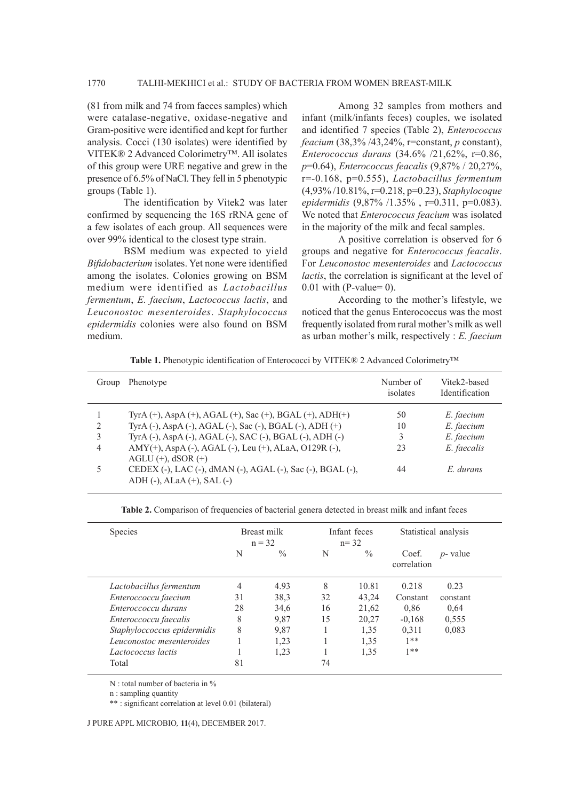# 1770 TALHI-MEKHICI et al.: STUDY OF BACTERIA FROM WOMEN BREAST-MILK

(81 from milk and 74 from faeces samples) which were catalase-negative, oxidase-negative and Gram-positive were identified and kept for further analysis. Cocci (130 isolates) were identified by VITEK® 2 Advanced Colorimetry™. All isolates of this group were URE negative and grew in the presence of 6.5% of NaCl. They fell in 5 phenotypic groups (Table 1).

The identification by Vitek2 was later confirmed by sequencing the 16S rRNA gene of a few isolates of each group. All sequences were over 99% identical to the closest type strain.

BSM medium was expected to yield *Bifidobacterium* isolates. Yet none were identified among the isolates. Colonies growing on BSM medium were identified as *Lactobacillus fermentum*, *E. faecium*, *Lactococcus lactis*, and *Leuconostoc mesenteroides*. *Staphylococcus epidermidis* colonies were also found on BSM medium.

Among 32 samples from mothers and infant (milk/infants feces) couples, we isolated and identified 7 species (Table 2), *Enterococcus feacium* (38,3% /43,24%, r=constant, *p* constant), *Enterococcus durans* (34.6% /21,62%, r=0.86, *p*=0.64), *Enterococcus feacalis* (9,87% / 20,27%, r=-0.168, p=0.555), *Lactobacillus fermentum* (4,93% /10.81%, r=0.218, p=0.23), *Staphylocoque epidermidis* (9,87% /1.35% , r=0.311, p=0.083). We noted that *Enterococcus feacium* was isolated in the majority of the milk and fecal samples.

A positive correlation is observed for 6 groups and negative for *Enterococcus feacalis*. For *Leuconostoc mesenteroides* and *Lactococcus lactis*, the correlation is significant at the level of  $0.01$  with (P-value= 0).

According to the mother's lifestyle, we noticed that the genus Enterococcus was the most frequently isolated from rural mother's milk as well as urban mother's milk, respectively : *E. faecium*

**Table 1.** Phenotypic identification of Enterococci by VITEK® 2 Advanced Colorimetry™

| Group | Phenotype                                                                                        | Number of<br>isolates | Vitek2-based<br><b>Identification</b> |
|-------|--------------------------------------------------------------------------------------------------|-----------------------|---------------------------------------|
|       | TyrA $(+)$ , AspA $(+)$ , AGAL $(+)$ , Sac $(+)$ , BGAL $(+)$ , ADH $(+)$                        | 50                    | E. faecium                            |
|       | TyrA (-), AspA (-), AGAL (-), Sac (-), BGAL (-), ADH (+)                                         | 10                    | E. faecium                            |
|       | TyrA (-), AspA (-), AGAL (-), SAC (-), BGAL (-), ADH (-)                                         | 3                     | E. faecium                            |
| 4     | AMY(+), AspA (-), AGAL (-), Leu (+), ALaA, O129R (-),<br>$AGLU$ (+), $dSOR$ (+)                  | 23                    | E. faecalis                           |
|       | CEDEX (-), LAC (-), dMAN (-), AGAL (-), Sac (-), BGAL (-),<br>ADH $(-)$ , ALaA $(+)$ , SAL $(-)$ | 44                    | E. durans                             |

| <b>Species</b>              | Breast milk<br>$n = 32$ |               | Infant feces<br>$n = 32$ |               | Statistical analysis |             |
|-----------------------------|-------------------------|---------------|--------------------------|---------------|----------------------|-------------|
|                             | N                       | $\frac{0}{0}$ | N                        | $\frac{0}{0}$ | Coef.<br>correlation | $p$ - value |
| Lactobacillus fermentum     | 4                       | 4.93          | 8                        | 10.81         | 0.218                | 0.23        |
| Enteroccoccu faecium        | 31                      | 38.3          | 32                       | 43,24         | Constant             | constant    |
| Enteroccoccu durans         | 28                      | 34,6          | 16                       | 21,62         | 0.86                 | 0.64        |
| Enteroccoccu faecalis       | 8                       | 9.87          | 15                       | 20,27         | $-0.168$             | 0.555       |
| Staphyloccoccus epidermidis | 8                       | 9.87          |                          | 1.35          | 0.311                | 0.083       |
| Leuconostoc mesenteroides   |                         | 1,23          |                          | 1.35          | $1**$                |             |
| Lactococcus lactis          |                         | 1,23          |                          | 1,35          | $1**$                |             |
| Total                       | 81                      |               | 74                       |               |                      |             |

**Table 2.** Comparison of frequencies of bacterial genera detected in breast milk and infant feces

N : total number of bacteria in %

n : sampling quantity

\*\* : significant correlation at level 0.01 (bilateral)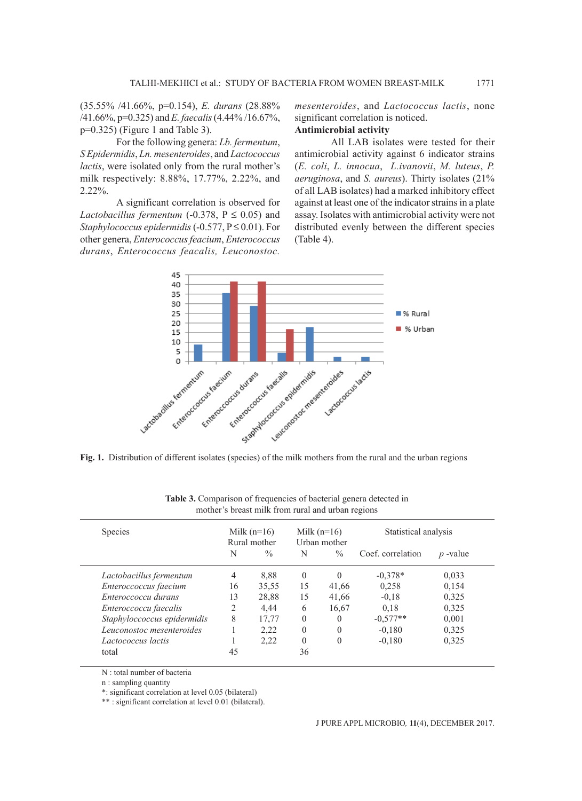(35.55% /41.66%, p=0.154), *E. durans* (28.88% /41.66%, p=0.325) and *E. faecalis* (4.44% /16.67%, p=0.325) (Figure 1 and Table 3).

For the following genera: *Lb. fermentum*, *S Epidermidis*, *Ln. mesenteroides*, and *Lactococcus lactis*, were isolated only from the rural mother's milk respectively: 8.88%, 17.77%, 2.22%, and 2.22%.

A significant correlation is observed for *Lactobacillus fermentum* (-0.378,  $P \le 0.05$ ) and *Staphylococcus epidermidis* (-0.577, P ≤ 0.01). For other genera, *Enterococcus feacium*, *Enterococcus durans*, *Enterococcus feacalis, Leuconostoc.* 

*mesenteroides*, and *Lactococcus lactis*, none significant correlation is noticed.

# **Antimicrobial activity**

All LAB isolates were tested for their antimicrobial activity against 6 indicator strains (*E. coli*, *L. innocua*, *L.ivanovii*, *M. luteus*, *P. aeruginosa*, and *S. aureus*). Thirty isolates (21% of all LAB isolates) had a marked inhibitory effect against at least one of the indicator strains in a plate assay. Isolates with antimicrobial activity were not distributed evenly between the different species (Table 4).



| <b>Species</b>              | Milk $(n=16)$<br>Rural mother |               | Milk $(n=16)$<br>Urban mother |               | Statistical analysis |            |  |
|-----------------------------|-------------------------------|---------------|-------------------------------|---------------|----------------------|------------|--|
|                             | N                             | $\frac{0}{0}$ | N                             | $\frac{0}{0}$ | Coef. correlation    | $p$ -value |  |
| Lactobacillus fermentum     | 4                             | 8.88          | $\Omega$                      | $\Omega$      | $-0.378*$            | 0,033      |  |
| Enteroccoccus faecium       | 16                            | 35,55         | 15                            | 41,66         | 0,258                | 0,154      |  |
| Enteroccoccu durans         | 13                            | 28,88         | 15                            | 41,66         | $-0.18$              | 0,325      |  |
| Enteroccoccu faecalis       | 2                             | 4.44          | 6                             | 16,67         | 0.18                 | 0,325      |  |
| Staphyloccoccus epidermidis | 8                             | 17,77         | $\Omega$                      | $\Omega$      | $-0.577**$           | 0,001      |  |
| Leuconostoc mesenteroides   |                               | 2,22          | $\Omega$                      | $\Omega$      | $-0.180$             | 0,325      |  |
| Lactococcus lactis          |                               | 2,22          | $\Omega$                      | $\theta$      | $-0.180$             | 0,325      |  |
| total                       | 45                            |               | 36                            |               |                      |            |  |

**Table 3.** Comparison of frequencies of bacterial genera detected in mother's breast milk from rural and urban regions

N : total number of bacteria

n : sampling quantity

\*: significant correlation at level 0.05 (bilateral)

\*\* : significant correlation at level 0.01 (bilateral).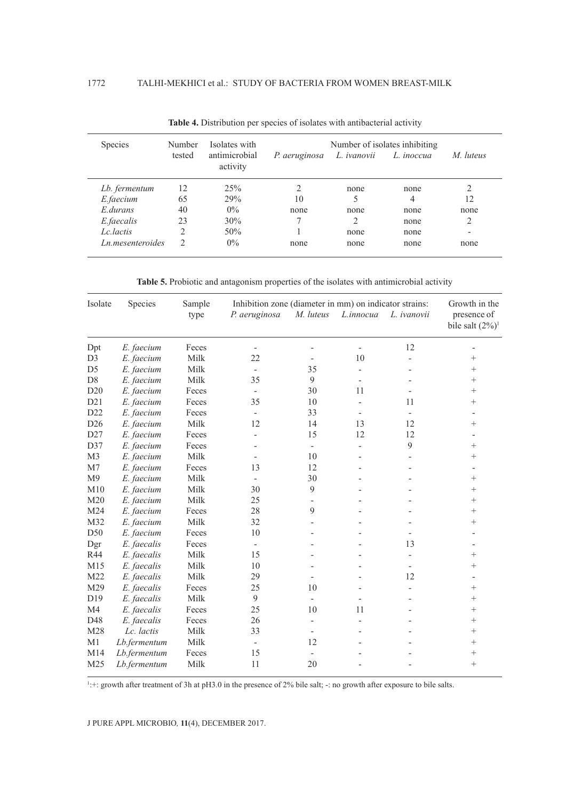| <b>Species</b>   | Number | Isolates with             | Number of isolates inhibiting |                |            |                |  |
|------------------|--------|---------------------------|-------------------------------|----------------|------------|----------------|--|
|                  | tested | antimicrobial<br>activity | P. aeruginosa                 | L. ivanovii    | L. inoccua | M. luteus      |  |
| Lb. fermentum    | 12     | 25%                       | 2                             | none           | none       |                |  |
| E.faecium        | 65     | 29%                       | 10                            | 5              | 4          | 12             |  |
| E durans         | 40     | $0\%$                     | none                          | none           | none       | none           |  |
| E.faecalis       | 23     | 30%                       | 7                             | $\overline{2}$ | none       | 2              |  |
| Lc lactis        | 2      | 50%                       |                               | none           | none       | $\blacksquare$ |  |
| Ln mesenteroides | 2      | $0\%$                     | none                          | none           | none       | none           |  |

**Table 4.** Distribution per species of isolates with antibacterial activity

**Table 5.** Probiotic and antagonism properties of the isolates with antimicrobial activity

| Isolate         | Species      | Sample<br>type | Inhibition zone (diameter in mm) on indicator strains:<br>P. aeruginosa | M. luteus                | L.innocua                | L. ivanovii              | Growth in the<br>presence of<br>bile salt $(2\%)$ <sup>1</sup> |  |
|-----------------|--------------|----------------|-------------------------------------------------------------------------|--------------------------|--------------------------|--------------------------|----------------------------------------------------------------|--|
| Dpt             | E. faecium   | Feces          |                                                                         |                          | $\overline{\phantom{0}}$ | 12                       |                                                                |  |
| D <sub>3</sub>  | E. faecium   | Milk           | 22                                                                      |                          | 10                       |                          | $^{+}$                                                         |  |
| D <sub>5</sub>  | E. faecium   | Milk           | $\overline{a}$                                                          | 35                       | $\overline{\phantom{0}}$ |                          | $^{+}$                                                         |  |
| $\mathbf{D}8$   | E. faecium   | Milk           | 35                                                                      | 9                        |                          |                          | $+$                                                            |  |
| D20             | E. faecium   | Feces          |                                                                         | 30                       | 11                       |                          | $^{+}$                                                         |  |
| D21             | E. faecium   | Feces          | 35                                                                      | 10                       |                          | 11                       | $^{+}$                                                         |  |
| D22             | E. faecium   | Feces          | $\overline{\phantom{m}}$                                                | 33                       | $\overline{\phantom{0}}$ | $\overline{\phantom{a}}$ |                                                                |  |
| D <sub>26</sub> | E. faecium   | Milk           | 12                                                                      | 14                       | 13                       | 12                       | $^{+}$                                                         |  |
| D27             | E. faecium   | Feces          | ÷                                                                       | 15                       | 12                       | 12                       |                                                                |  |
| D37             | E. faecium   | Feces          |                                                                         | $\overline{\phantom{a}}$ | $\overline{a}$           | 9                        | $+$                                                            |  |
| M3              | E. faecium   | Milk           |                                                                         | 10                       |                          |                          | $^{+}$                                                         |  |
| M7              | E. faecium   | Feces          | 13                                                                      | 12                       |                          |                          |                                                                |  |
| M <sub>9</sub>  | E. faecium   | Milk           | $\overline{\phantom{a}}$                                                | 30                       |                          |                          | $^{+}$                                                         |  |
| M10             | E. faecium   | Milk           | 30                                                                      | 9                        |                          |                          | $^{+}$                                                         |  |
| M20             | E. faecium   | Milk           | 25                                                                      |                          |                          |                          | $^{+}$                                                         |  |
| M24             | E. faecium   | Feces          | 28                                                                      | 9                        |                          |                          | $+$                                                            |  |
| M32             | E. faecium   | Milk           | 32                                                                      |                          |                          |                          | $+$                                                            |  |
| D50             | E. faecium   | Feces          | 10                                                                      |                          |                          |                          |                                                                |  |
| Dgr             | E. faecalis  | Feces          | $\frac{1}{2}$                                                           |                          |                          | 13                       |                                                                |  |
| R44             | E. faecalis  | Milk           | 15                                                                      |                          |                          |                          | $^{+}$                                                         |  |
| M15             | E. faecalis  | Milk           | 10                                                                      |                          |                          |                          | $^{+}$                                                         |  |
| M22             | E. faecalis  | Milk           | 29                                                                      |                          |                          | 12                       |                                                                |  |
| M29             | E. faecalis  | Feces          | 25                                                                      | 10                       |                          |                          | $+$                                                            |  |
| D19             | E. faecalis  | Milk           | 9                                                                       | $\overline{\phantom{0}}$ |                          |                          | $^{+}$                                                         |  |
| M <sub>4</sub>  | E. faecalis  | Feces          | 25                                                                      | 10                       | 11                       |                          | $^{+}$                                                         |  |
| D48             | E. faecalis  | Feces          | 26                                                                      |                          |                          |                          | $^{+}$                                                         |  |
| M28             | Lc. lactis   | Milk           | 33                                                                      | $\overline{\phantom{a}}$ |                          |                          | $^{+}$                                                         |  |
| M1              | Lb.fermentum | Milk           | $\overline{\phantom{m}}$                                                | 12                       |                          |                          | $^{+}$                                                         |  |
| M14             | Lb.fermentum | Feces          | 15                                                                      |                          |                          |                          | $^{+}$                                                         |  |
| M25             | Lb.fermentum | Milk           | 11                                                                      | 20                       |                          |                          | $+$                                                            |  |

 $1 +$ : growth after treatment of 3h at pH3.0 in the presence of 2% bile salt;  $-$ : no growth after exposure to bile salts.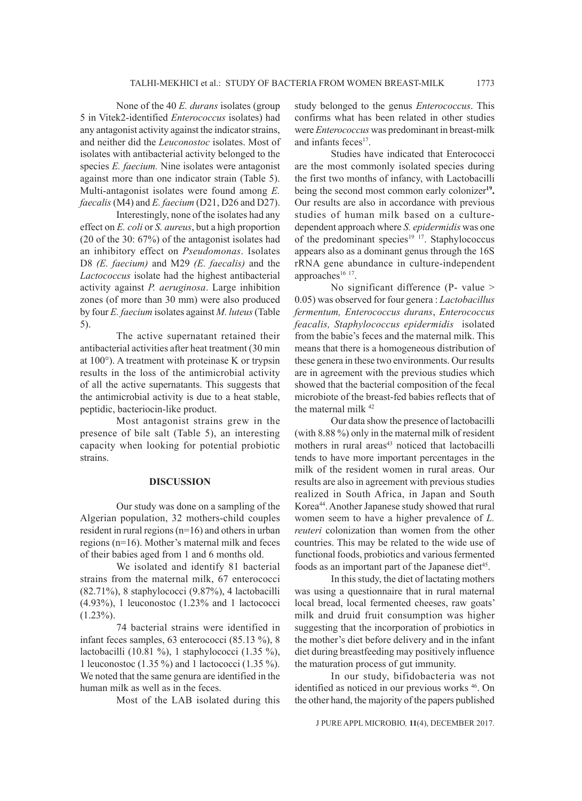None of the 40 *E. durans* isolates (group 5 in Vitek2-identified *Enterococcus* isolates) had any antagonist activity against the indicator strains, and neither did the *Leuconostoc* isolates. Most of isolates with antibacterial activity belonged to the species *E. faecium.* Nine isolates were antagonist against more than one indicator strain (Table 5). Multi-antagonist isolates were found among *E. faecalis* (M4) and *E. faecium* (D21, D26 and D27).

Interestingly, none of the isolates had any effect on *E. coli* or *S. aureus*, but a high proportion (20 of the 30: 67%) of the antagonist isolates had an inhibitory effect on *Pseudomonas*. Isolates D8 *(E. faecium)* and M29 *(E. faecalis)* and the *Lactococcus* isolate had the highest antibacterial activity against *P. aeruginosa*. Large inhibition zones (of more than 30 mm) were also produced by four *E. faecium* isolates against *M. luteus* (Table 5).

The active supernatant retained their antibacterial activities after heat treatment (30 min at 100°). A treatment with proteinase K or trypsin results in the loss of the antimicrobial activity of all the active supernatants. This suggests that the antimicrobial activity is due to a heat stable, peptidic, bacteriocin-like product.

Most antagonist strains grew in the presence of bile salt (Table 5), an interesting capacity when looking for potential probiotic strains.

#### **DISCUSSION**

Our study was done on a sampling of the Algerian population, 32 mothers-child couples resident in rural regions (n=16) and others in urban regions (n=16). Mother's maternal milk and feces of their babies aged from 1 and 6 months old.

We isolated and identify 81 bacterial strains from the maternal milk, 67 enterococci (82.71%), 8 staphylococci (9.87%), 4 lactobacilli (4.93%), 1 leuconostoc (1.23% and 1 lactococci  $(1.23\%)$ .

74 bacterial strains were identified in infant feces samples, 63 enterococci (85.13 %), 8 lactobacilli (10.81 %), 1 staphylococci (1.35 %), 1 leuconostoc (1.35 %) and 1 lactococci (1.35 %). We noted that the same genura are identified in the human milk as well as in the feces.

Most of the LAB isolated during this

study belonged to the genus *Enterococcus*. This confirms what has been related in other studies were *Enterococcus* was predominant in breast-milk and infants feces<sup>17</sup>.

Studies have indicated that Enterococci are the most commonly isolated species during the first two months of infancy, with Lactobacilli being the second most common early colonizer**19.**  Our results are also in accordance with previous studies of human milk based on a culturedependent approach where *S. epidermidis* was one of the predominant species<sup>19 17</sup>. Staphylococcus appears also as a dominant genus through the 16S rRNA gene abundance in culture-independent approaches $16$  17.

No significant difference (P- value > 0.05) was observed for four genera : *Lactobacillus fermentum, Enterococcus durans*, *Enterococcus feacalis, Staphylococcus epidermidis* isolated from the babie's feces and the maternal milk. This means that there is a homogeneous distribution of these genera in these two environments. Our results are in agreement with the previous studies which showed that the bacterial composition of the fecal microbiote of the breast-fed babies reflects that of the maternal milk 42

Our data show the presence of lactobacilli (with 8.88 %) only in the maternal milk of resident mothers in rural areas<sup>43</sup> noticed that lactobacilli tends to have more important percentages in the milk of the resident women in rural areas. Our results are also in agreement with previous studies realized in South Africa, in Japan and South Korea<sup>44</sup>. Another Japanese study showed that rural women seem to have a higher prevalence of *L. reuteri* colonization than women from the other countries. This may be related to the wide use of functional foods, probiotics and various fermented foods as an important part of the Japanese diet<sup>45</sup>.

In this study, the diet of lactating mothers was using a questionnaire that in rural maternal local bread, local fermented cheeses, raw goats' milk and druid fruit consumption was higher suggesting that the incorporation of probiotics in the mother's diet before delivery and in the infant diet during breastfeeding may positively influence the maturation process of gut immunity.

In our study, bifidobacteria was not identified as noticed in our previous works 46. On the other hand, the majority of the papers published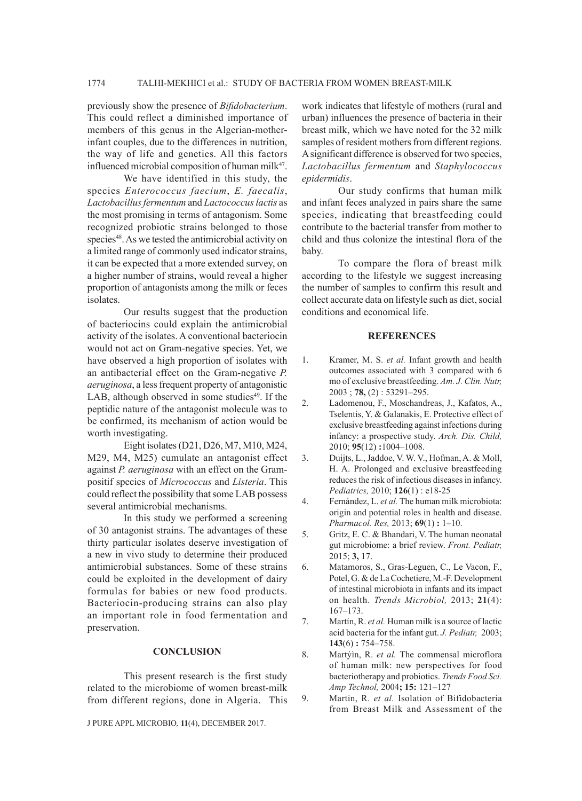# 1774 TALHI-MEKHICI et al.: STUDY OF BACTERIA FROM WOMEN BREAST-MILK

previously show the presence of *Bifidobacterium*. This could reflect a diminished importance of members of this genus in the Algerian-motherinfant couples, due to the differences in nutrition, the way of life and genetics. All this factors influenced microbial composition of human milk $47$ .

We have identified in this study, the species *Enterococcus faecium*, *E. faecalis*, *Lactobacillus fermentum* and *Lactococcus lactis* as the most promising in terms of antagonism. Some recognized probiotic strains belonged to those species<sup>48</sup>. As we tested the antimicrobial activity on a limited range of commonly used indicator strains, it can be expected that a more extended survey, on a higher number of strains, would reveal a higher proportion of antagonists among the milk or feces isolates.

Our results suggest that the production of bacteriocins could explain the antimicrobial activity of the isolates. A conventional bacteriocin would not act on Gram-negative species. Yet, we have observed a high proportion of isolates with an antibacterial effect on the Gram-negative *P. aeruginosa*, a less frequent property of antagonistic LAB, although observed in some studies $49$ . If the peptidic nature of the antagonist molecule was to be confirmed, its mechanism of action would be worth investigating.

Eight isolates (D21, D26, M7, M10, M24, M29, M4, M25) cumulate an antagonist effect against *P. aeruginosa* with an effect on the Grampositif species of *Micrococcus* and *Listeria*. This could reflect the possibility that some LAB possess several antimicrobial mechanisms.

In this study we performed a screening of 30 antagonist strains. The advantages of these thirty particular isolates deserve investigation of a new in vivo study to determine their produced antimicrobial substances. Some of these strains could be exploited in the development of dairy formulas for babies or new food products. Bacteriocin-producing strains can also play an important role in food fermentation and preservation.

## **CONCLUSION**

This present research is the first study related to the microbiome of women breast-milk from different regions, done in Algeria. This

J PURE APPL MICROBIO*,* **11**(4), DECEMBER 2017.

work indicates that lifestyle of mothers (rural and urban) influences the presence of bacteria in their breast milk, which we have noted for the 32 milk samples of resident mothers from different regions. A significant difference is observed for two species, *Lactobacillus fermentum* and *Staphylococcus epidermidis*.

Our study confirms that human milk and infant feces analyzed in pairs share the same species, indicating that breastfeeding could contribute to the bacterial transfer from mother to child and thus colonize the intestinal flora of the baby.

To compare the flora of breast milk according to the lifestyle we suggest increasing the number of samples to confirm this result and collect accurate data on lifestyle such as diet, social conditions and economical life.

#### **REFERENCES**

- 1. Kramer, M. S. *et al.* Infant growth and health outcomes associated with 3 compared with 6 mo of exclusive breastfeeding. *Am. J. Clin. Nutr,*  2003 ; **78,** (2) : 53291–295.
- 2. Ladomenou, F., Moschandreas, J., Kafatos, A., Tselentis, Y. & Galanakis, E. Protective effect of exclusive breastfeeding against infections during infancy: a prospective study. *Arch. Dis. Child,* 2010; **95**(12) **:**1004–1008.
- 3. Duijts, L., Jaddoe, V. W. V., Hofman, A. & Moll, H. A. Prolonged and exclusive breastfeeding reduces the risk of infectious diseases in infancy. *Pediatrics,* 2010; **126**(1) : e18-25
- 4. Fernández, L. *et al.* The human milk microbiota: origin and potential roles in health and disease. *Pharmacol. Res,* 2013; **69**(1) **:** 1–10.
- 5. Gritz, E. C. & Bhandari, V. The human neonatal gut microbiome: a brief review. *Front. Pediatr,* 2015; **3,** 17.
- 6. Matamoros, S., Gras-Leguen, C., Le Vacon, F., Potel, G. & de La Cochetiere, M.-F. Development of intestinal microbiota in infants and its impact on health. *Trends Microbiol,* 2013; **21**(4): 167–173.
- 7. Martín, R. *et al.* Human milk is a source of lactic acid bacteria for the infant gut. *J. Pediatr,* 2003; **143**(6) **:** 754–758.
- 8. Martýìn, R. *et al.* The commensal microflora of human milk: new perspectives for food bacteriotherapy and probiotics. *Trends Food Sci. Amp Technol,* 2004**; 15:** 121–127
- 9. Martin, R. *et al.* Isolation of Bifidobacteria from Breast Milk and Assessment of the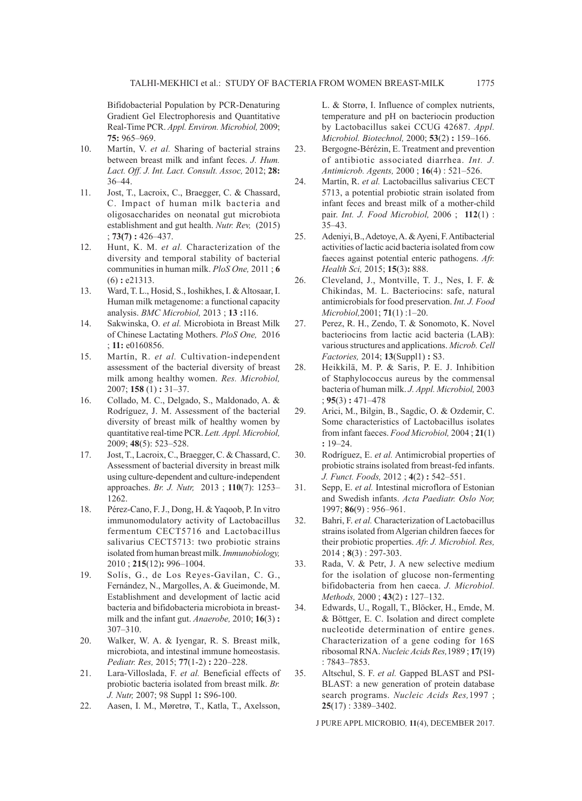Bifidobacterial Population by PCR-Denaturing Gradient Gel Electrophoresis and Quantitative Real-Time PCR. *Appl. Environ. Microbiol,* 2009; **75:** 965–969.

- 10. Martín, V. *et al.* Sharing of bacterial strains between breast milk and infant feces. *J. Hum. Lact. Off. J. Int. Lact. Consult. Assoc,* 2012; **28:**  36–44.
- 11. Jost, T., Lacroix, C., Braegger, C. & Chassard, C. Impact of human milk bacteria and oligosaccharides on neonatal gut microbiota establishment and gut health. *Nutr. Rev,* (2015) ; **73(7) :** 426–437.
- 12. Hunt, K. M. *et al.* Characterization of the diversity and temporal stability of bacterial communities in human milk. *PloS One,* 2011 ; **6**  (6) **:** e21313.
- 13. Ward, T. L., Hosid, S., Ioshikhes, I. & Altosaar, I. Human milk metagenome: a functional capacity analysis. *BMC Microbiol,* 2013 ; **13 :**116.
- 14. Sakwinska, O. *et al.* Microbiota in Breast Milk of Chinese Lactating Mothers. *PloS One,* 2016 ; **11:** e0160856.
- 15. Martín, R. *et al.* Cultivation-independent assessment of the bacterial diversity of breast milk among healthy women. *Res. Microbiol,*  2007; **158** (1) **:** 31–37.
- 16. Collado, M. C., Delgado, S., Maldonado, A. & Rodríguez, J. M. Assessment of the bacterial diversity of breast milk of healthy women by quantitative real-time PCR. *Lett. Appl. Microbiol,*  2009; **48**(5): 523–528.
- 17. Jost, T., Lacroix, C., Braegger, C. & Chassard, C. Assessment of bacterial diversity in breast milk using culture-dependent and culture-independent approaches. *Br. J. Nutr,* 2013 ; **110**(7): 1253– 1262.
- 18. Pérez-Cano, F. J., Dong, H. & Yaqoob, P. In vitro immunomodulatory activity of Lactobacillus fermentum CECT5716 and Lactobacillus salivarius CECT5713: two probiotic strains isolated from human breast milk. *Immunobiology,*  2010 ; **215**(12)**:** 996–1004.
- 19. Solís, G., de Los Reyes-Gavilan, C. G., Fernández, N., Margolles, A. & Gueimonde, M. Establishment and development of lactic acid bacteria and bifidobacteria microbiota in breastmilk and the infant gut. *Anaerobe,* 2010; **16**(3) **:** 307–310.
- 20. Walker, W. A. & Iyengar, R. S. Breast milk, microbiota, and intestinal immune homeostasis. *Pediatr. Res,* 2015; **77**(1-2) **:** 220–228.
- 21. Lara-Villoslada, F. *et al.* Beneficial effects of probiotic bacteria isolated from breast milk. *Br. J. Nutr,* 2007; 98 Suppl 1**:** S96-100.
- 22. Aasen, I. M., Møretrø, T., Katla, T., Axelsson,

L. & Storrø, I. Influence of complex nutrients, temperature and pH on bacteriocin production by Lactobacillus sakei CCUG 42687. *Appl. Microbiol. Biotechnol,* 2000; **53**(2) **:** 159–166.

- 23. Bergogne-Bérézin, E. Treatment and prevention of antibiotic associated diarrhea. *Int. J. Antimicrob. Agents,* 2000 ; **16**(4) : 521–526.
- 24. Martín, R. *et al.* Lactobacillus salivarius CECT 5713, a potential probiotic strain isolated from infant feces and breast milk of a mother-child pair. *Int. J. Food Microbiol,* 2006 ; **112**(1) : 35–43.
- 25. Adeniyi, B., Adetoye, A. & Ayeni, F. Antibacterial activities of lactic acid bacteria isolated from cow faeces against potential enteric pathogens. *Afr. Health Sci,* 2015; **15**(3)**:** 888.
- 26. Cleveland, J., Montville, T. J., Nes, I. F. & Chikindas, M. L. Bacteriocins: safe, natural antimicrobials for food preservation. *Int. J. Food Microbiol,*2001; **71**(1) :1–20.
- 27. Perez, R. H., Zendo, T. & Sonomoto, K. Novel bacteriocins from lactic acid bacteria (LAB): various structures and applications. *Microb. Cell Factories,* 2014; **13**(Suppl1) **:** S3.
- 28. Heikkilä, M. P. & Saris, P. E. J. Inhibition of Staphylococcus aureus by the commensal bacteria of human milk. *J. Appl. Microbiol,* 2003 ; **95**(3) **:** 471–478
- 29. Arici, M., Bilgin, B., Sagdic, O. & Ozdemir, C. Some characteristics of Lactobacillus isolates from infant faeces. *Food Microbiol,* 2004 ; **21**(1) **:** 19–24.
- 30. Rodríguez, E. *et al.* Antimicrobial properties of probiotic strains isolated from breast-fed infants. *J. Funct. Foods,* 2012 ; **4**(2) **:** 542–551.
- 31. Sepp, E. *et al.* Intestinal microflora of Estonian and Swedish infants. *Acta Paediatr. Oslo Nor,*  1997; **86**(9) : 956–961.
- 32. Bahri, F. *et al.* Characterization of Lactobacillus strains isolated from Algerian children faeces for their probiotic properties. *Afr. J. Microbiol. Res,*  2014 ; **8**(3) : 297-303.
- 33. Rada, V. & Petr, J. A new selective medium for the isolation of glucose non-fermenting bifidobacteria from hen caeca. *J. Microbiol. Methods,* 2000 ; **43**(2) **:** 127–132.
- 34. Edwards, U., Rogall, T., Blöcker, H., Emde, M. & Böttger, E. C. Isolation and direct complete nucleotide determination of entire genes. Characterization of a gene coding for 16S ribosomal RNA. *Nucleic Acids Res,*1989 ; **17**(19) : 7843–7853.
- 35. Altschul, S. F. *et al.* Gapped BLAST and PSI-BLAST: a new generation of protein database search programs. *Nucleic Acids Res,*1997 ; **25**(17) : 3389–3402.